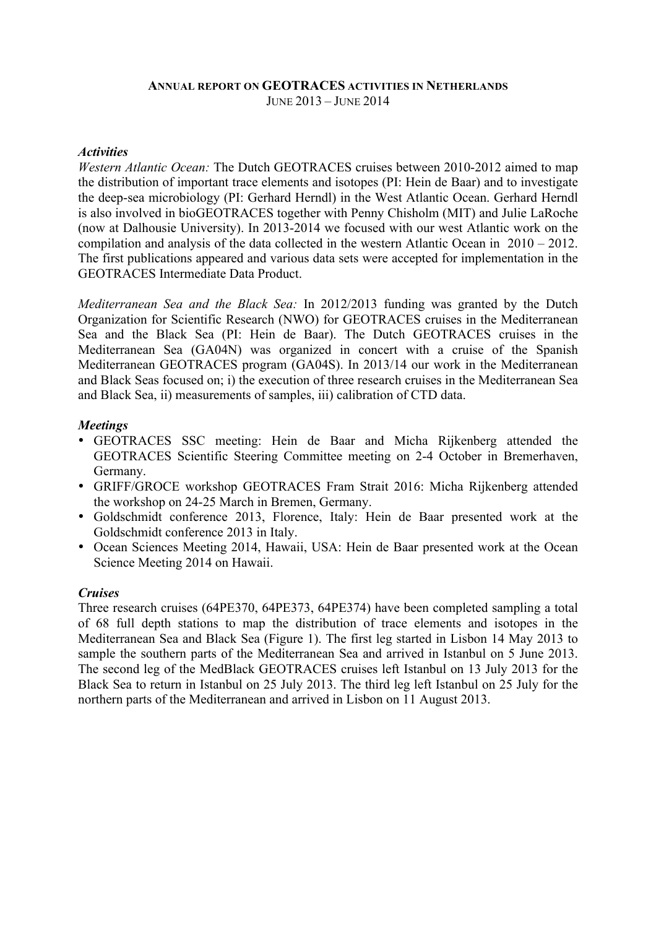## **ANNUAL REPORT ON GEOTRACES ACTIVITIES IN NETHERLANDS** JUNE 2013 – JUNE 2014

## *Activities*

*Western Atlantic Ocean:* The Dutch GEOTRACES cruises between 2010-2012 aimed to map the distribution of important trace elements and isotopes (PI: Hein de Baar) and to investigate the deep-sea microbiology (PI: Gerhard Herndl) in the West Atlantic Ocean. Gerhard Herndl is also involved in bioGEOTRACES together with Penny Chisholm (MIT) and Julie LaRoche (now at Dalhousie University). In 2013-2014 we focused with our west Atlantic work on the compilation and analysis of the data collected in the western Atlantic Ocean in 2010 – 2012. The first publications appeared and various data sets were accepted for implementation in the GEOTRACES Intermediate Data Product.

*Mediterranean Sea and the Black Sea:* In 2012/2013 funding was granted by the Dutch Organization for Scientific Research (NWO) for GEOTRACES cruises in the Mediterranean Sea and the Black Sea (PI: Hein de Baar). The Dutch GEOTRACES cruises in the Mediterranean Sea (GA04N) was organized in concert with a cruise of the Spanish Mediterranean GEOTRACES program (GA04S). In 2013/14 our work in the Mediterranean and Black Seas focused on; i) the execution of three research cruises in the Mediterranean Sea and Black Sea, ii) measurements of samples, iii) calibration of CTD data.

## *Meetings*

- GEOTRACES SSC meeting: Hein de Baar and Micha Rijkenberg attended the GEOTRACES Scientific Steering Committee meeting on 2-4 October in Bremerhaven, Germany.
- GRIFF/GROCE workshop GEOTRACES Fram Strait 2016: Micha Rijkenberg attended the workshop on 24-25 March in Bremen, Germany.
- Goldschmidt conference 2013, Florence, Italy: Hein de Baar presented work at the Goldschmidt conference 2013 in Italy.
- Ocean Sciences Meeting 2014, Hawaii, USA: Hein de Baar presented work at the Ocean Science Meeting 2014 on Hawaii.

#### *Cruises*

Three research cruises (64PE370, 64PE373, 64PE374) have been completed sampling a total of 68 full depth stations to map the distribution of trace elements and isotopes in the Mediterranean Sea and Black Sea (Figure 1). The first leg started in Lisbon 14 May 2013 to sample the southern parts of the Mediterranean Sea and arrived in Istanbul on 5 June 2013. The second leg of the MedBlack GEOTRACES cruises left Istanbul on 13 July 2013 for the Black Sea to return in Istanbul on 25 July 2013. The third leg left Istanbul on 25 July for the northern parts of the Mediterranean and arrived in Lisbon on 11 August 2013.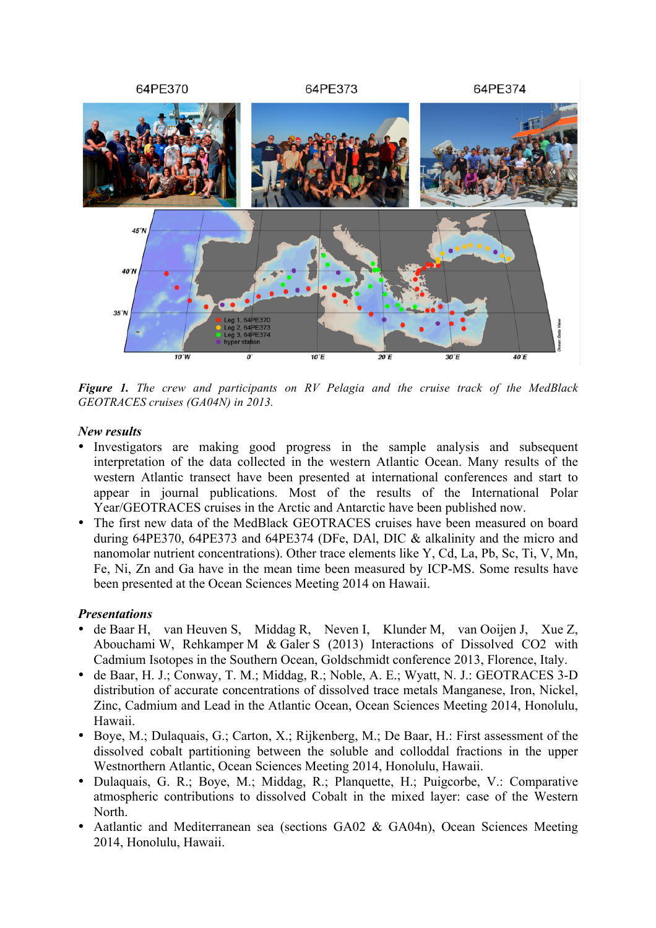

*Figure 1. The crew and participants on RV Pelagia and the cruise track of the MedBlack GEOTRACES cruises (GA04N) in 2013.*

#### *New results*

- Investigators are making good progress in the sample analysis and subsequent interpretation of the data collected in the western Atlantic Ocean. Many results of the western Atlantic transect have been presented at international conferences and start to appear in journal publications. Most of the results of the International Polar Year/GEOTRACES cruises in the Arctic and Antarctic have been published now.
- The first new data of the MedBlack GEOTRACES cruises have been measured on board during 64PE370, 64PE373 and 64PE374 (DFe, DAl, DIC & alkalinity and the micro and nanomolar nutrient concentrations). Other trace elements like Y, Cd, La, Pb, Sc, Ti, V, Mn, Fe, Ni, Zn and Ga have in the mean time been measured by ICP-MS. Some results have been presented at the Ocean Sciences Meeting 2014 on Hawaii.

# *Presentations*

- de Baar H, van Heuven S, Middag R, Neven I, Klunder M, van Ooijen J, Xue Z, Abouchami W, Rehkamper M & Galer S (2013) Interactions of Dissolved CO2 with Cadmium Isotopes in the Southern Ocean, Goldschmidt conference 2013, Florence, Italy.
- de Baar, H. J.; Conway, T. M.; Middag, R.; Noble, A. E.; Wyatt, N. J.: GEOTRACES 3-D distribution of accurate concentrations of dissolved trace metals Manganese, Iron, Nickel, Zinc, Cadmium and Lead in the Atlantic Ocean, Ocean Sciences Meeting 2014, Honolulu, Hawaii.
- Boye, M.; Dulaquais, G.; Carton, X.; Rijkenberg, M.; De Baar, H.: First assessment of the dissolved cobalt partitioning between the soluble and colloddal fractions in the upper Westnorthern Atlantic, Ocean Sciences Meeting 2014, Honolulu, Hawaii.
- Dulaquais, G. R.; Boye, M.; Middag, R.; Planquette, H.; Puigcorbe, V.: Comparative atmospheric contributions to dissolved Cobalt in the mixed layer: case of the Western North.
- Aatlantic and Mediterranean sea (sections GA02 & GA04n), Ocean Sciences Meeting 2014, Honolulu, Hawaii.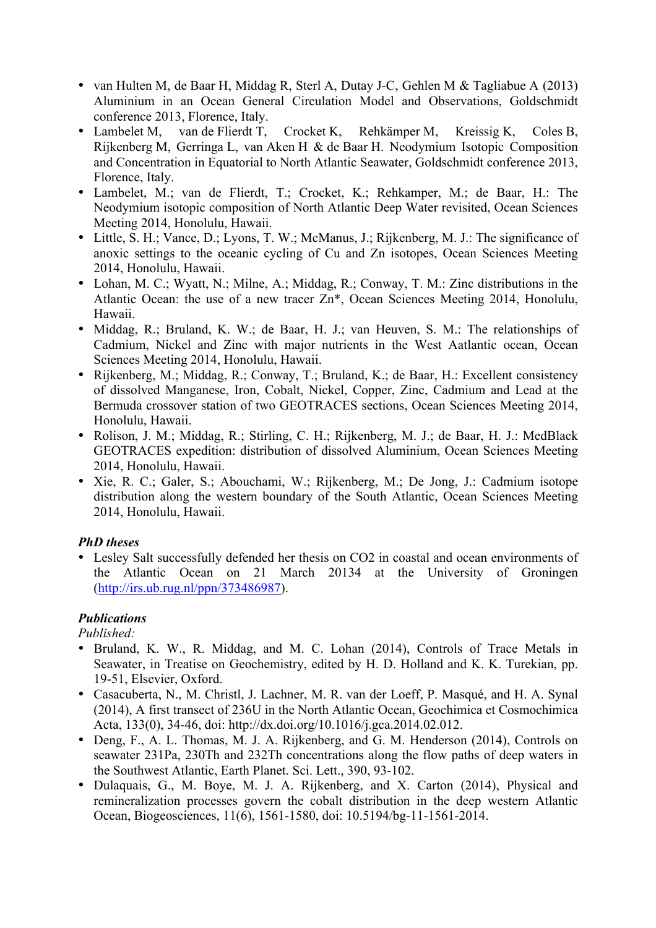- van Hulten M, de Baar H, Middag R, Sterl A, Dutay J-C, Gehlen M & Tagliabue A (2013) Aluminium in an Ocean General Circulation Model and Observations, Goldschmidt conference 2013, Florence, Italy.
- Lambelet M, van de Flierdt T, Crocket K, Rehkämper M, Kreissig K, Coles B, Rijkenberg M, Gerringa L, van Aken H & de Baar H. Neodymium Isotopic Composition and Concentration in Equatorial to North Atlantic Seawater, Goldschmidt conference 2013, Florence, Italy.
- Lambelet, M.; van de Flierdt, T.; Crocket, K.; Rehkamper, M.; de Baar, H.: The Neodymium isotopic composition of North Atlantic Deep Water revisited, Ocean Sciences Meeting 2014, Honolulu, Hawaii.
- Little, S. H.; Vance, D.; Lyons, T. W.; McManus, J.; Rijkenberg, M. J.; The significance of anoxic settings to the oceanic cycling of Cu and Zn isotopes, Ocean Sciences Meeting 2014, Honolulu, Hawaii.
- Lohan, M. C.; Wyatt, N.; Milne, A.; Middag, R.; Conway, T. M.: Zinc distributions in the Atlantic Ocean: the use of a new tracer Zn\*, Ocean Sciences Meeting 2014, Honolulu, Hawaii.
- Middag, R.; Bruland, K. W.; de Baar, H. J.; van Heuven, S. M.: The relationships of Cadmium, Nickel and Zinc with major nutrients in the West Aatlantic ocean, Ocean Sciences Meeting 2014, Honolulu, Hawaii.
- Rijkenberg, M.; Middag, R.; Conway, T.; Bruland, K.; de Baar, H.: Excellent consistency of dissolved Manganese, Iron, Cobalt, Nickel, Copper, Zinc, Cadmium and Lead at the Bermuda crossover station of two GEOTRACES sections, Ocean Sciences Meeting 2014, Honolulu, Hawaii.
- Rolison, J. M.; Middag, R.; Stirling, C. H.; Rijkenberg, M. J.; de Baar, H. J.: MedBlack GEOTRACES expedition: distribution of dissolved Aluminium, Ocean Sciences Meeting 2014, Honolulu, Hawaii.
- Xie, R. C.; Galer, S.; Abouchami, W.; Rijkenberg, M.; De Jong, J.: Cadmium isotope distribution along the western boundary of the South Atlantic, Ocean Sciences Meeting 2014, Honolulu, Hawaii.

# *PhD theses*

• Lesley Salt successfully defended her thesis on CO2 in coastal and ocean environments of the Atlantic Ocean on 21 March 20134 at the University of Groningen (http://irs.ub.rug.nl/ppn/373486987).

# *Publications*

*Published:*

- Bruland, K. W., R. Middag, and M. C. Lohan (2014), Controls of Trace Metals in Seawater, in Treatise on Geochemistry, edited by H. D. Holland and K. K. Turekian, pp. 19-51, Elsevier, Oxford.
- Casacuberta, N., M. Christl, J. Lachner, M. R. van der Loeff, P. Masqué, and H. A. Synal (2014), A first transect of 236U in the North Atlantic Ocean, Geochimica et Cosmochimica Acta, 133(0), 34-46, doi: http://dx.doi.org/10.1016/j.gca.2014.02.012.
- Deng, F., A. L. Thomas, M. J. A. Rijkenberg, and G. M. Henderson (2014), Controls on seawater 231Pa, 230Th and 232Th concentrations along the flow paths of deep waters in the Southwest Atlantic, Earth Planet. Sci. Lett., 390, 93-102.
- Dulaquais, G., M. Boye, M. J. A. Rijkenberg, and X. Carton (2014), Physical and remineralization processes govern the cobalt distribution in the deep western Atlantic Ocean, Biogeosciences, 11(6), 1561-1580, doi: 10.5194/bg-11-1561-2014.